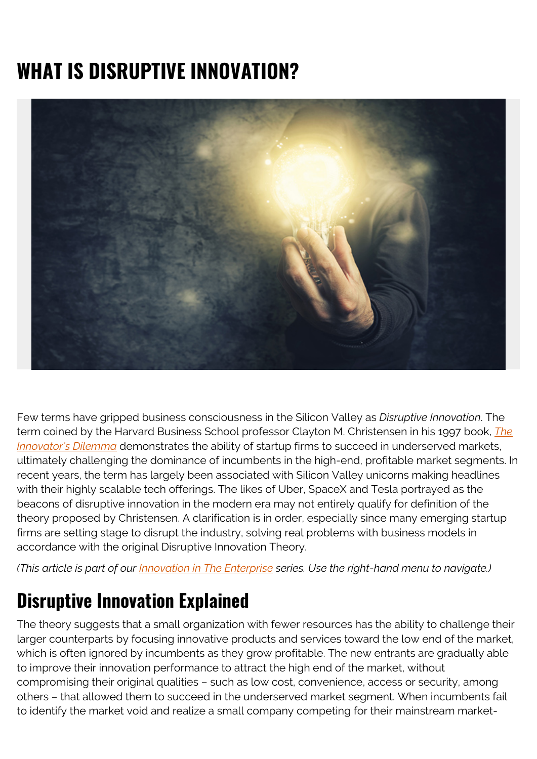## **WHAT IS DISRUPTIVE INNOVATION?**



Few terms have gripped business consciousness in the Silicon Valley as *Disruptive Innovation*. The term coined by the Harvard Business School professor Clayton M. Christensen in his 1997 book, *[The](https://en.wikipedia.org/wiki/The_Innovator%27s_Dilemma) [Innovator's Dilemma](https://en.wikipedia.org/wiki/The_Innovator%27s_Dilemma)* demonstrates the ability of startup firms to succeed in underserved markets, ultimately challenging the dominance of incumbents in the high-end, profitable market segments. In recent years, the term has largely been associated with Silicon Valley unicorns making headlines with their highly scalable tech offerings. The likes of Uber, SpaceX and Tesla portrayed as the beacons of disruptive innovation in the modern era may not entirely qualify for definition of the theory proposed by Christensen. A clarification is in order, especially since many emerging startup firms are setting stage to disrupt the industry, solving real problems with business models in accordance with the original Disruptive Innovation Theory.

*(This article is part of our [Innovation in The Enterprise](https://blogs.bmc.com/blogs/innovation-introduction-basics/) series. Use the right-hand menu to navigate.)*

## **Disruptive Innovation Explained**

The theory suggests that a small organization with fewer resources has the ability to challenge their larger counterparts by focusing innovative products and services toward the low end of the market, which is often ignored by incumbents as they grow profitable. The new entrants are gradually able to improve their innovation performance to attract the high end of the market, without compromising their original qualities – such as low cost, convenience, access or security, among others – that allowed them to succeed in the underserved market segment. When incumbents fail to identify the market void and realize a small company competing for their mainstream market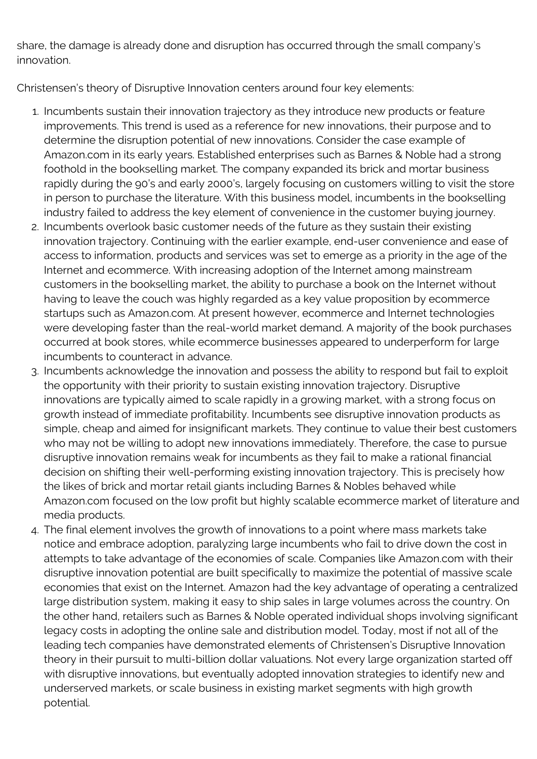share, the damage is already done and disruption has occurred through the small company's innovation.

Christensen's theory of Disruptive Innovation centers around four key elements:

- 1. Incumbents sustain their innovation trajectory as they introduce new products or feature improvements. This trend is used as a reference for new innovations, their purpose and to determine the disruption potential of new innovations. Consider the case example of Amazon.com in its early years. Established enterprises such as Barnes & Noble had a strong foothold in the bookselling market. The company expanded its brick and mortar business rapidly during the 90's and early 2000's, largely focusing on customers willing to visit the store in person to purchase the literature. With this business model, incumbents in the bookselling industry failed to address the key element of convenience in the customer buying journey.
- 2. Incumbents overlook basic customer needs of the future as they sustain their existing innovation trajectory. Continuing with the earlier example, end-user convenience and ease of access to information, products and services was set to emerge as a priority in the age of the Internet and ecommerce. With increasing adoption of the Internet among mainstream customers in the bookselling market, the ability to purchase a book on the Internet without having to leave the couch was highly regarded as a key value proposition by ecommerce startups such as Amazon.com. At present however, ecommerce and Internet technologies were developing faster than the real-world market demand. A majority of the book purchases occurred at book stores, while ecommerce businesses appeared to underperform for large incumbents to counteract in advance.
- 3. Incumbents acknowledge the innovation and possess the ability to respond but fail to exploit the opportunity with their priority to sustain existing innovation trajectory. Disruptive innovations are typically aimed to scale rapidly in a growing market, with a strong focus on growth instead of immediate profitability. Incumbents see disruptive innovation products as simple, cheap and aimed for insignificant markets. They continue to value their best customers who may not be willing to adopt new innovations immediately. Therefore, the case to pursue disruptive innovation remains weak for incumbents as they fail to make a rational financial decision on shifting their well-performing existing innovation trajectory. This is precisely how the likes of brick and mortar retail giants including Barnes & Nobles behaved while Amazon.com focused on the low profit but highly scalable ecommerce market of literature and media products.
- 4. The final element involves the growth of innovations to a point where mass markets take notice and embrace adoption, paralyzing large incumbents who fail to drive down the cost in attempts to take advantage of the economies of scale. Companies like Amazon.com with their disruptive innovation potential are built specifically to maximize the potential of massive scale economies that exist on the Internet. Amazon had the key advantage of operating a centralized large distribution system, making it easy to ship sales in large volumes across the country. On the other hand, retailers such as Barnes & Noble operated individual shops involving significant legacy costs in adopting the online sale and distribution model. Today, most if not all of the leading tech companies have demonstrated elements of Christensen's Disruptive Innovation theory in their pursuit to multi-billion dollar valuations. Not every large organization started off with disruptive innovations, but eventually adopted innovation strategies to identify new and underserved markets, or scale business in existing market segments with high growth potential.